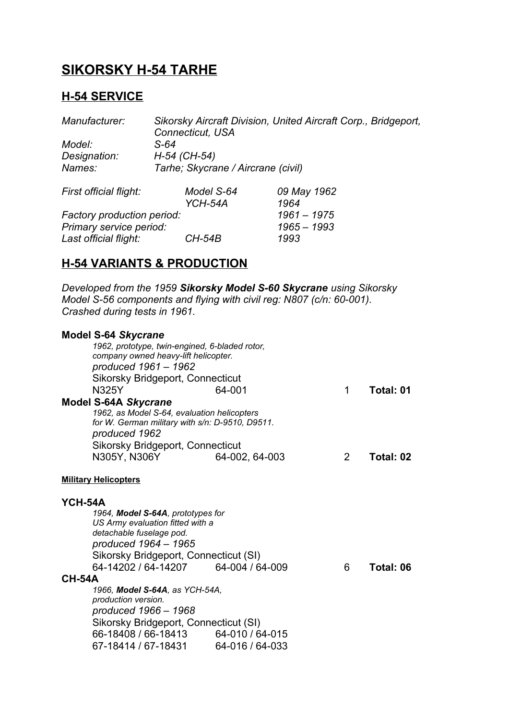# **SIKORSKY H-54 TARHE**

# **H-54 SERVICE**

| Manufacturer:              | Sikorsky Aircraft Division, United Aircraft Corp., Bridgeport, |               |  |  |
|----------------------------|----------------------------------------------------------------|---------------|--|--|
|                            | <b>Connecticut, USA</b>                                        |               |  |  |
| Model:                     | S-64                                                           |               |  |  |
| Designation:               | H-54 (CH-54)                                                   |               |  |  |
| Names:                     | Tarhe; Skycrane / Aircrane (civil)                             |               |  |  |
| First official flight:     | Model S-64                                                     | 09 May 1962   |  |  |
|                            | YCH-54A                                                        | 1964          |  |  |
| Factory production period: |                                                                | $1961 - 1975$ |  |  |
| Primary service period:    |                                                                | $1965 - 1993$ |  |  |
| Last official flight:      | <i>CH-54B</i>                                                  | 1993          |  |  |

## **H-54 VARIANTS & PRODUCTION**

*Developed from the 1959 Sikorsky Model S-60 Skycrane using Sikorsky Model S-56 components and flying with civil reg: N807 (c/n: 60-001). Crashed during tests in 1961.*

|               | <b>Model S-64 Skycrane</b><br>1962, prototype, twin-engined, 6-bladed rotor,<br>company owned heavy-lift helicopter.<br>produced 1961 - 1962<br><b>Sikorsky Bridgeport, Connecticut</b>              |                 |   |           |  |  |
|---------------|------------------------------------------------------------------------------------------------------------------------------------------------------------------------------------------------------|-----------------|---|-----------|--|--|
|               | <b>N325Y</b>                                                                                                                                                                                         | 64-001          | 1 | Total: 01 |  |  |
|               | <b>Model S-64A Skycrane</b><br>1962, as Model S-64, evaluation helicopters<br>for W. German military with s/n: D-9510, D9511.<br>produced 1962<br><b>Sikorsky Bridgeport, Connecticut</b>            |                 |   |           |  |  |
|               | N305Y, N306Y                                                                                                                                                                                         | 64-002, 64-003  | 2 | Total: 02 |  |  |
|               | <b>Military Helicopters</b>                                                                                                                                                                          |                 |   |           |  |  |
| YCH-54A       |                                                                                                                                                                                                      |                 |   |           |  |  |
|               | 1964, Model S-64A, prototypes for<br>US Army evaluation fitted with a<br>detachable fuselage pod.<br>produced 1964 - 1965                                                                            |                 |   |           |  |  |
|               | Sikorsky Bridgeport, Connecticut (SI)                                                                                                                                                                |                 |   |           |  |  |
| <b>CH-54A</b> | 64-14202 / 64-14207                                                                                                                                                                                  | 64-004 / 64-009 | 6 | Total: 06 |  |  |
|               | 1966, Model S-64A, as YCH-54A,<br>production version.<br>produced 1966 - 1968<br>Sikorsky Bridgeport, Connecticut (SI)<br>66-18408 / 66-18413 64-010 / 64-015<br>67-18414 / 67-18431 64-016 / 64-033 |                 |   |           |  |  |